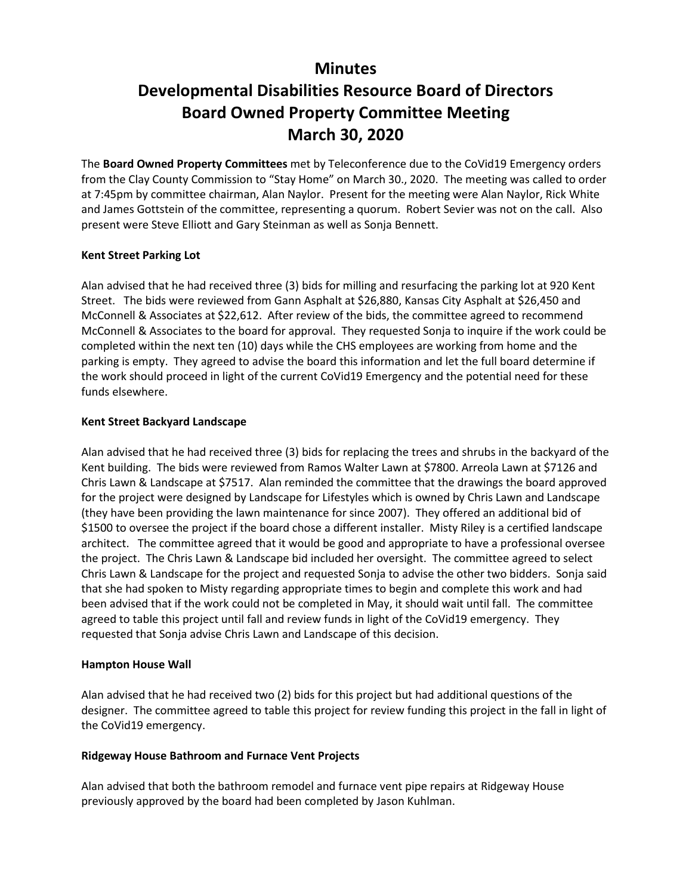## **Minutes**

# **Developmental Disabilities Resource Board of Directors Board Owned Property Committee Meeting March 30, 2020**

The **Board Owned Property Committees** met by Teleconference due to the CoVid19 Emergency orders from the Clay County Commission to "Stay Home" on March 30., 2020. The meeting was called to order at 7:45pm by committee chairman, Alan Naylor. Present for the meeting were Alan Naylor, Rick White and James Gottstein of the committee, representing a quorum. Robert Sevier was not on the call. Also present were Steve Elliott and Gary Steinman as well as Sonja Bennett.

#### **Kent Street Parking Lot**

Alan advised that he had received three (3) bids for milling and resurfacing the parking lot at 920 Kent Street. The bids were reviewed from Gann Asphalt at \$26,880, Kansas City Asphalt at \$26,450 and McConnell & Associates at \$22,612. After review of the bids, the committee agreed to recommend McConnell & Associates to the board for approval. They requested Sonja to inquire if the work could be completed within the next ten (10) days while the CHS employees are working from home and the parking is empty. They agreed to advise the board this information and let the full board determine if the work should proceed in light of the current CoVid19 Emergency and the potential need for these funds elsewhere.

### **Kent Street Backyard Landscape**

Alan advised that he had received three (3) bids for replacing the trees and shrubs in the backyard of the Kent building. The bids were reviewed from Ramos Walter Lawn at \$7800. Arreola Lawn at \$7126 and Chris Lawn & Landscape at \$7517. Alan reminded the committee that the drawings the board approved for the project were designed by Landscape for Lifestyles which is owned by Chris Lawn and Landscape (they have been providing the lawn maintenance for since 2007). They offered an additional bid of \$1500 to oversee the project if the board chose a different installer. Misty Riley is a certified landscape architect. The committee agreed that it would be good and appropriate to have a professional oversee the project. The Chris Lawn & Landscape bid included her oversight. The committee agreed to select Chris Lawn & Landscape for the project and requested Sonja to advise the other two bidders. Sonja said that she had spoken to Misty regarding appropriate times to begin and complete this work and had been advised that if the work could not be completed in May, it should wait until fall. The committee agreed to table this project until fall and review funds in light of the CoVid19 emergency. They requested that Sonja advise Chris Lawn and Landscape of this decision.

#### **Hampton House Wall**

Alan advised that he had received two (2) bids for this project but had additional questions of the designer. The committee agreed to table this project for review funding this project in the fall in light of the CoVid19 emergency.

#### **Ridgeway House Bathroom and Furnace Vent Projects**

Alan advised that both the bathroom remodel and furnace vent pipe repairs at Ridgeway House previously approved by the board had been completed by Jason Kuhlman.